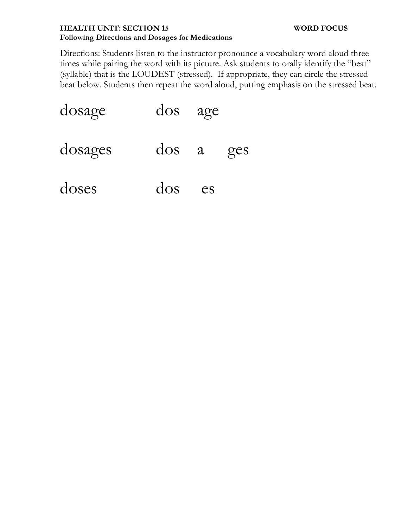## **HEALTH UNIT: SECTION 15 WORD FOCUS Following Directions and Dosages for Medications**

Directions: Students listen to the instructor pronounce a vocabulary word aloud three times while pairing the word with its picture. Ask students to orally identify the "beat" (syllable) that is the LOUDEST (stressed). If appropriate, they can circle the stressed beat below. Students then repeat the word aloud, putting emphasis on the stressed beat.

| dosage  | dos age    |    |     |
|---------|------------|----|-----|
| dosages | dos a      |    | ges |
| doses   | $\rm{dos}$ | es |     |